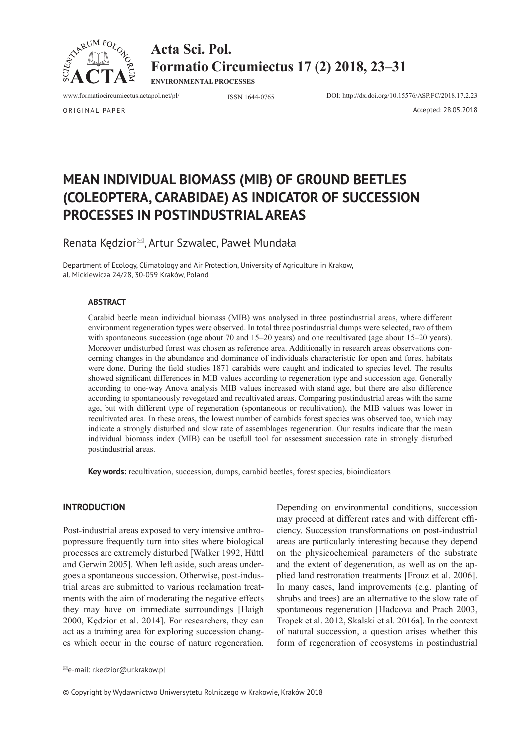

**Acta Sci. Pol. Formatio Circumiectus 17 (2) 2018, 23–31**

**ENVIRONMENTAL PROCESSES**

www.formatiocircumiectus.actapol.net/pl/ ISSN 1644-0765 DOI: http://dx.doi.org/10.15576/ASP.FC/2018.17.2.23

ORIGINAL PAPER Accepted: 28.05.2018

**MEAN INDIVIDUAL BIOMASS (MIB) OF GROUND BEETLES (COLEOPTERA, CARABIDAE) AS INDICATOR OF SUCCESSION PROCESSES IN POSTINDUSTRIAL AREAS**

Renata Kędzior<sup>⊠</sup>, Artur Szwalec, Paweł Mundała

Department of Ecology, Climatology and Air Protection, University of Agriculture in Krakow, al. Mickiewicza 24/28, 30-059 Kraków, Poland

### **ABSTRACT**

Carabid beetle mean individual biomass (MIB) was analysed in three postindustrial areas, where different environment regeneration types were observed. In total three postindustrial dumps were selected, two of them with spontaneous succession (age about 70 and 15–20 years) and one recultivated (age about 15–20 years). Moreover undisturbed forest was chosen as reference area. Additionally in research areas observations concerning changes in the abundance and dominance of individuals characteristic for open and forest habitats were done. During the field studies 1871 carabids were caught and indicated to species level. The results showed significant differences in MIB values according to regeneration type and succession age. Generally according to one-way Anova analysis MIB values increased with stand age, but there are also difference according to spontaneously revegetaed and recultivated areas. Comparing postindustrial areas with the same age, but with different type of regeneration (spontaneous or recultivation), the MIB values was lower in recultivated area. In these areas, the lowest number of carabids forest species was observed too, which may indicate a strongly disturbed and slow rate of assemblages regeneration. Our results indicate that the mean individual biomass index (MIB) can be usefull tool for assessment succession rate in strongly disturbed postindustrial areas.

**Key words:** recultivation, succession, dumps, carabid beetles, forest species, bioindicators

#### **INTRODUCTION**

Post-industrial areas exposed to very intensive anthropopressure frequently turn into sites where biological processes are extremely disturbed [Walker 1992, Hüttl and Gerwin 2005]. When left aside, such areas undergoes a spontaneous succession. Otherwise, post-industrial areas are submitted to various reclamation treatments with the aim of moderating the negative effects they may have on immediate surroundings [Haigh 2000, Kędzior et al. 2014]. For researchers, they can act as a training area for exploring succession changes which occur in the course of nature regeneration.

Depending on environmental conditions, succession may proceed at different rates and with different efficiency. Succession transformations on post-industrial areas are particularly interesting because they depend on the physicochemical parameters of the substrate and the extent of degeneration, as well as on the applied land restroration treatments [Frouz et al. 2006]. In many cases, land improvements (e.g. planting of shrubs and trees) are an alternative to the slow rate of spontaneous regeneration [Hadcova and Prach 2003, Tropek et al. 2012, Skalski et al. 2016a]. In the context of natural succession, a question arises whether this form of regeneration of ecosystems in postindustrial

 $\cong$ e-mail: r.kedzior@ur.krakow.pl

© Copyright by Wydawnictwo Uniwersytetu Rolniczego w Krakowie, Kraków 2018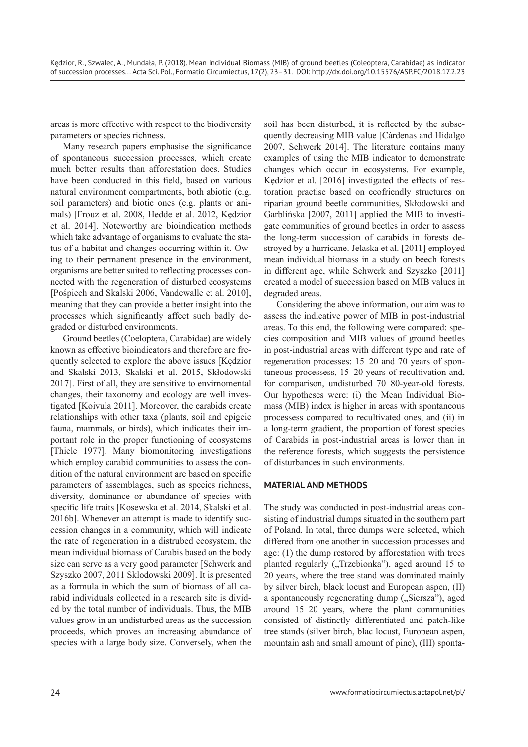areas is more effective with respect to the biodiversity parameters or species richness.

Many research papers emphasise the significance of spontaneous succession processes, which create much better results than afforestation does. Studies have been conducted in this field, based on various natural environment compartments, both abiotic (e.g. soil parameters) and biotic ones (e.g. plants or animals) [Frouz et al. 2008, Hedde et al. 2012, Kędzior et al. 2014]. Noteworthy are bioindication methods which take advantage of organisms to evaluate the status of a habitat and changes occurring within it. Owing to their permanent presence in the environment, organisms are better suited to reflecting processes connected with the regeneration of disturbed ecosystems [Pośpiech and Skalski 2006, Vandewalle et al. 2010], meaning that they can provide a better insight into the processes which significantly affect such badly degraded or disturbed environments.

Ground beetles (Coeloptera, Carabidae) are widely known as effective bioindicators and therefore are frequently selected to explore the above issues [Kędzior and Skalski 2013, Skalski et al. 2015, Skłodowski 2017]. First of all, they are sensitive to envirnomental changes, their taxonomy and ecology are well investigated [Koivula 2011]. Moreover, the carabids create relationships with other taxa (plants, soil and epigeic fauna, mammals, or birds), which indicates their important role in the proper functioning of ecosystems [Thiele 1977]. Many biomonitoring investigations which employ carabid communities to assess the condition of the natural environment are based on specific parameters of assemblages, such as species richness, diversity, dominance or abundance of species with specific life traits [Kosewska et al. 2014, Skalski et al. 2016b]. Whenever an attempt is made to identify succession changes in a community, which will indicate the rate of regeneration in a distrubed ecosystem, the mean individual biomass of Carabis based on the body size can serve as a very good parameter [Schwerk and Szyszko 2007, 2011 Skłodowski 2009]. It is presented as a formula in which the sum of biomass of all carabid individuals collected in a research site is divided by the total number of individuals. Thus, the MIB values grow in an undisturbed areas as the succession proceeds, which proves an increasing abundance of species with a large body size. Conversely, when the

soil has been disturbed, it is reflected by the subsequently decreasing MIB value [Cárdenas and Hidalgo 2007, Schwerk 2014]. The literature contains many examples of using the MIB indicator to demonstrate changes which occur in ecosystems. For example, Kędzior et al. [2016] investigated the effects of restoration practise based on ecofriendly structures on riparian ground beetle communities, Skłodowski and Garblińska [2007, 2011] applied the MIB to investigate communities of ground beetles in order to assess the long-term succession of carabids in forests destroyed by a hurricane. Jelaska et al. [2011] employed mean individual biomass in a study on beech forests in different age, while Schwerk and Szyszko [2011] created a model of succession based on MIB values in degraded areas.

Considering the above information, our aim was to assess the indicative power of MIB in post-industrial areas. To this end, the following were compared: species composition and MIB values of ground beetles in post-industrial areas with different type and rate of regeneration processes: 15–20 and 70 years of spontaneous processess, 15–20 years of recultivation and, for comparison, undisturbed 70–80-year-old forests. Our hypotheses were: (i) the Mean Individual Biomass (MIB) index is higher in areas with spontaneous processess compared to recultivated ones, and (ii) in a long-term gradient, the proportion of forest species of Carabids in post-industrial areas is lower than in the reference forests, which suggests the persistence of disturbances in such environments.

# **MATERIAL AND METHODS**

The study was conducted in post-industrial areas consisting of industrial dumps situated in the southern part of Poland. In total, three dumps were selected, which differed from one another in succession processes and age: (1) the dump restored by afforestation with trees planted regularly ("Trzebionka"), aged around 15 to 20 years, where the tree stand was dominated mainly by silver birch, black locust and European aspen, (II) a spontaneously regenerating dump ("Siersza"), aged around 15–20 years, where the plant communities consisted of distinctly differentiated and patch-like tree stands (silver birch, blac locust, European aspen, mountain ash and small amount of pine), (III) sponta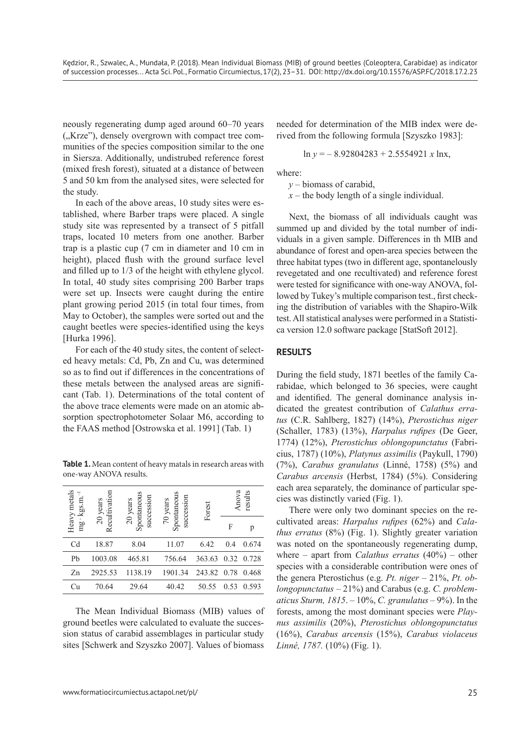neously regenerating dump aged around 60–70 years ("Krze"), densely overgrown with compact tree communities of the species composition similar to the one in Siersza. Additionally, undistrubed reference forest (mixed fresh forest), situated at a distance of between 5 and 50 km from the analysed sites, were selected for the study.

In each of the above areas, 10 study sites were established, where Barber traps were placed. A single study site was represented by a transect of 5 pitfall traps, located 10 meters from one another. Barber trap is a plastic cup (7 cm in diameter and 10 cm in height), placed flush with the ground surface level and filled up to 1/3 of the height with ethylene glycol. In total, 40 study sites comprising 200 Barber traps were set up. Insects were caught during the entire plant growing period 2015 (in total four times, from May to October), the samples were sorted out and the caught beetles were species-identified using the keys [Hurka 1996].

For each of the 40 study sites, the content of selected heavy metals: Cd, Pb, Zn and Cu, was determined so as to find out if differences in the concentrations of these metals between the analysed areas are significant (Tab. 1). Determinations of the total content of the above trace elements were made on an atomic absorption spectrophotometer Solaar M6, according to the FAAS method [Ostrowska et al. 1991] (Tab. 1)

**Table 1.** Mean content of heavy matals in research areas with one-way ANOVA results.

| Heavy metals<br>kgs.m | Recultivation<br>20 years | Spontaneous<br>succession<br>$20$ years | Spontaneous<br>succession<br>70 years | Anova<br>results<br>Forest |      |       |
|-----------------------|---------------------------|-----------------------------------------|---------------------------------------|----------------------------|------|-------|
| mg                    |                           |                                         |                                       |                            | F    | р     |
| Cd                    | 18.87                     | 8.04                                    | 11.07                                 | 6.42                       | 0.4  | 0.674 |
| Pb                    | 1003.08                   | 465.81                                  | 756.64                                | 363.63                     | 0.32 | 0.728 |
| Zn                    | 2925.53                   | 1138.19                                 | 1901.34                               | 243.82                     | 0.78 | 0.468 |
| Cu                    | 70.64                     | 29.64                                   | 40.42                                 | 50.55                      | 0.53 | 0.593 |

The Mean Individual Biomass (MIB) values of ground beetles were calculated to evaluate the succession status of carabid assemblages in particular study sites [Schwerk and Szyszko 2007]. Values of biomass

needed for determination of the MIB index were derived from the following formula [Szyszko 1983]:

$$
\ln y = -8.92804283 + 2.5554921 x \ln x,
$$

where:

*y* – biomass of carabid,

*x* – the body length of a single individual.

Next, the biomass of all individuals caught was summed up and divided by the total number of individuals in a given sample. Differences in th MIB and abundance of forest and open-area species between the three habitat types (two in different age, spontanelously revegetated and one recultivated) and reference forest were tested for significance with one-way ANOVA, followed by Tukey's multiple comparison test., first checking the distribution of variables with the Shapiro-Wilk test. All statistical analyses were performed in a Statistica version 12.0 software package [StatSoft 2012].

### **RESULTS**

During the field study, 1871 beetles of the family Carabidae, which belonged to 36 species, were caught and identified. The general dominance analysis indicated the greatest contribution of *Calathus erratus* (C.R. Sahlberg, 1827) (14%), *Pterostichus niger*  (Schaller, 1783) (13%), *Harpalus rufipes* (De Geer, 1774) (12%), *Pterostichus oblongopunctatus* (Fabricius, 1787) (10%), *Platynus assimilis* (Paykull, 1790) (7%), *Carabus granulatus* (Linné, 1758) (5%) and *Carabus arcensis* (Herbst, 1784) (5%). Considering each area separately, the dominance of particular species was distinctly varied (Fig. 1).

There were only two dominant species on the recultivated areas: *Harpalus rufipes* (62%) and *Calathus erratus* (8%) (Fig. 1). Slightly greater variation was noted on the spontaneously regenerating dump, where – apart from *Calathus erratus* (40%) – other species with a considerable contribution were ones of the genera Pterostichus (e.g. *Pt. niger* – 21%, *Pt. oblongopunctatus* – 21%) and Carabus (e.g. *C. problematicus Sturm, 1815*. – 10%, *C. granulatus* – 9%). In the forests, among the most dominant species were *Playnus assimilis* (20%), *Pterostichus oblongopunctatus* (16%), *Carabus arcensis* (15%), *Carabus violaceus Linné, 1787.* (10%) (Fig. 1).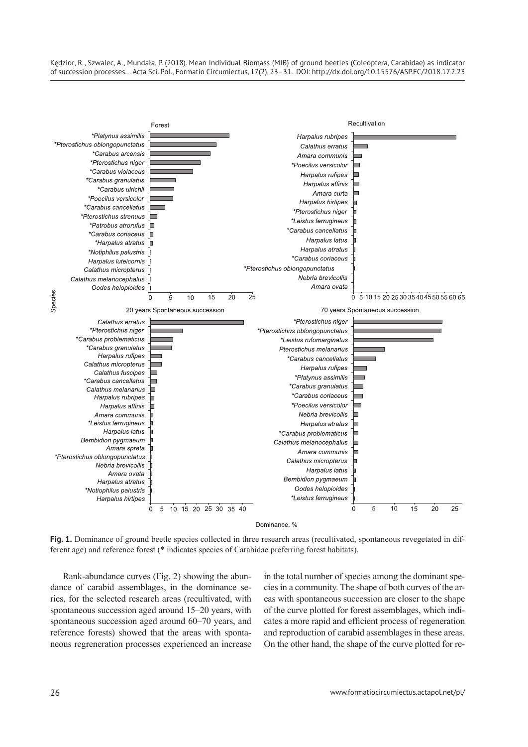Kędzior, R., Szwalec, A., Mundała, P. (2018). Mean Individual Biomass (MIB) of ground beetles (Coleoptera, Carabidae) as indicator of succession processes... Acta Sci. Pol., Formatio Circumiectus, 17(2), 23–31. DOI: http://dx.doi.org/10.15576/ASP.FC/2018.17.2.23



**Fig. 1.** Dominance of ground beetle species collected in three research areas (recultivated, spontaneous revegetated in different age) and reference forest (\* indicates species of Carabidae preferring forest habitats).

Rank-abundance curves (Fig. 2) showing the abundance of carabid assemblages, in the dominance series, for the selected research areas (recultivated, with spontaneous succession aged around 15–20 years, with spontaneous succession aged around 60–70 years, and reference forests) showed that the areas with spontaneous regreneration processes experienced an increase in the total number of species among the dominant species in a community. The shape of both curves of the areas with spontaneous succession are closer to the shape of the curve plotted for forest assemblages, which indicates a more rapid and efficient process of regeneration and reproduction of carabid assemblages in these areas. On the other hand, the shape of the curve plotted for re-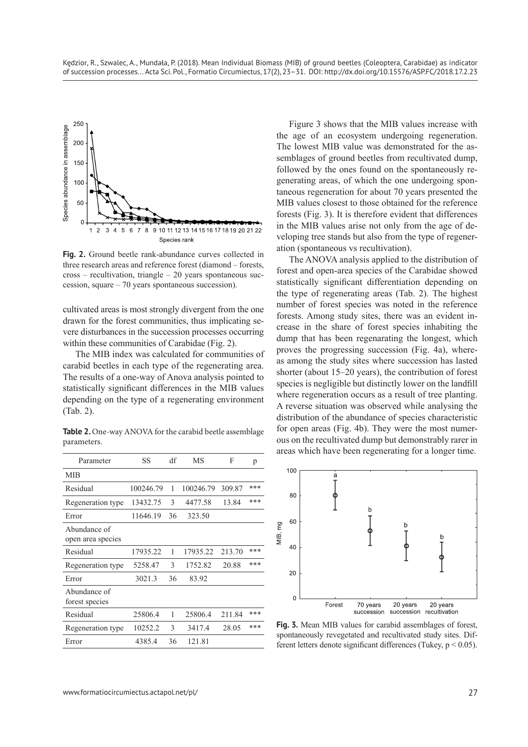

**Fig. 2.** Ground beetle rank-abundance curves collected in three research areas and reference forest (diamond – forests, cross – recultivation, triangle – 20 years spontaneous succession, square – 70 years spontaneous succession).

cultivated areas is most strongly divergent from the one drawn for the forest communities, thus implicating severe disturbances in the succession processes occurring within these communities of Carabidae (Fig. 2).

The MIB index was calculated for communities of carabid beetles in each type of the regenerating area. The results of a one-way of Anova analysis pointed to statistically significant differences in the MIB values depending on the type of a regenerating environment (Tab. 2).

Table 2. One-way ANOVA for the carabid beetle assemblage parameters.

| Parameter                         | SS        | df | МS        | F      | p   |
|-----------------------------------|-----------|----|-----------|--------|-----|
| <b>MIB</b>                        |           |    |           |        |     |
| Residual                          | 100246.79 | 1  | 100246.79 | 309.87 | *** |
| Regeneration type                 | 13432.75  | 3  | 4477.58   | 13.84  | *** |
| Error                             | 11646.19  | 36 | 323.50    |        |     |
| Abundance of<br>open area species |           |    |           |        |     |
| Residual                          | 17935.22  | 1  | 17935.22  | 213.70 | *** |
| Regeneration type                 | 5258.47   | 3  | 1752.82   | 20.88  | *** |
| Error                             | 3021.3    | 36 | 83.92     |        |     |
| Abundance of<br>forest species    |           |    |           |        |     |
| Residual                          | 25806.4   | 1  | 25806.4   | 211.84 | *** |
| Regeneration type                 | 10252.2   | 3  | 3417.4    | 28.05  | *** |
| Error                             | 4385.4    | 36 | 121.81    |        |     |

Figure 3 shows that the MIB values increase with the age of an ecosystem undergoing regeneration. The lowest MIB value was demonstrated for the assemblages of ground beetles from recultivated dump, followed by the ones found on the spontaneously regenerating areas, of which the one undergoing spontaneous regeneration for about 70 years presented the MIB values closest to those obtained for the reference forests (Fig. 3). It is therefore evident that differences in the MIB values arise not only from the age of developing tree stands but also from the type of regeneration (spontaneous vs recultivation).

The ANOVA analysis applied to the distribution of forest and open-area species of the Carabidae showed statistically significant differentiation depending on the type of regenerating areas (Tab. 2). The highest number of forest species was noted in the reference forests. Among study sites, there was an evident increase in the share of forest species inhabiting the dump that has been regenarating the longest, which proves the progressing succession (Fig. 4a), whereas among the study sites where succession has lasted shorter (about 15–20 years), the contribution of forest species is negligible but distinctly lower on the landfill where regeneration occurs as a result of tree planting. A reverse situation was observed while analysing the distribution of the abundance of species characteristic for open areas (Fig. 4b). They were the most numerous on the recultivated dump but demonstrably rarer in areas which have been regenerating for a longer time.



**Fig. 3.** Mean MIB values for carabid assemblages of forest, spontaneously revegetated and recultivated study sites. Different letters denote significant differences (Tukey, p < 0.05).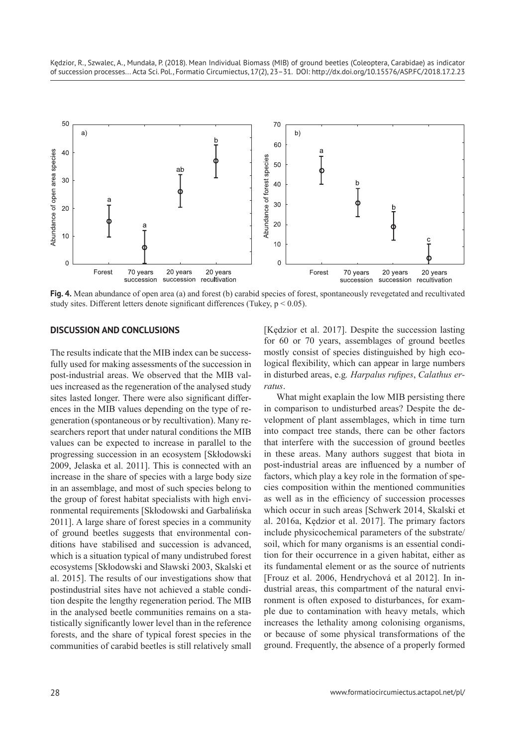

**Fig. 4.** Mean abundance of open area (a) and forest (b) carabid species of forest, spontaneously revegetated and recultivated study sites. Different letters denote significant differences (Tukey,  $p < 0.05$ ).

### **DISCUSSION AND CONCLUSIONS**

The results indicate that the MIB index can be successfully used for making assessments of the succession in post-industrial areas. We observed that the MIB values increased as the regeneration of the analysed study sites lasted longer. There were also significant differences in the MIB values depending on the type of regeneration (spontaneous or by recultivation). Many researchers report that under natural conditions the MIB values can be expected to increase in parallel to the progressing succession in an ecosystem [Skłodowski 2009, Jelaska et al. 2011]. This is connected with an increase in the share of species with a large body size in an assemblage, and most of such species belong to the group of forest habitat specialists with high environmental requirements [Skłodowski and Garbalińska 2011]. A large share of forest species in a community of ground beetles suggests that environmental conditions have stabilised and succession is advanced, which is a situation typical of many undistrubed forest ecosystems [Skłodowski and Sławski 2003, Skalski et al. 2015]. The results of our investigations show that postindustrial sites have not achieved a stable condition despite the lengthy regeneration period. The MIB in the analysed beetle communities remains on a statistically significantly lower level than in the reference forests, and the share of typical forest species in the communities of carabid beetles is still relatively small

[Kędzior et al. 2017]. Despite the succession lasting for 60 or 70 years, assemblages of ground beetles mostly consist of species distinguished by high ecological flexibility, which can appear in large numbers in disturbed areas, e.g*. Harpalus rufipes*, *Calathus erratus*.

What might exaplain the low MIB persisting there in comparison to undisturbed areas? Despite the development of plant assemblages, which in time turn into compact tree stands, there can be other factors that interfere with the succession of ground beetles in these areas. Many authors suggest that biota in post-industrial areas are influenced by a number of factors, which play a key role in the formation of species composition within the mentioned communities as well as in the efficiency of succession processes which occur in such areas [Schwerk 2014, Skalski et al. 2016a, Kędzior et al. 2017]. The primary factors include physicochemical parameters of the substrate/ soil, which for many organisms is an essential condition for their occurrence in a given habitat, either as its fundamental element or as the source of nutrients [Frouz et al. 2006, Hendrychová et al 2012]. In industrial areas, this compartment of the natural environment is often exposed to disturbances, for example due to contamination with heavy metals, which increases the lethality among colonising organisms, or because of some physical transformations of the ground. Frequently, the absence of a properly formed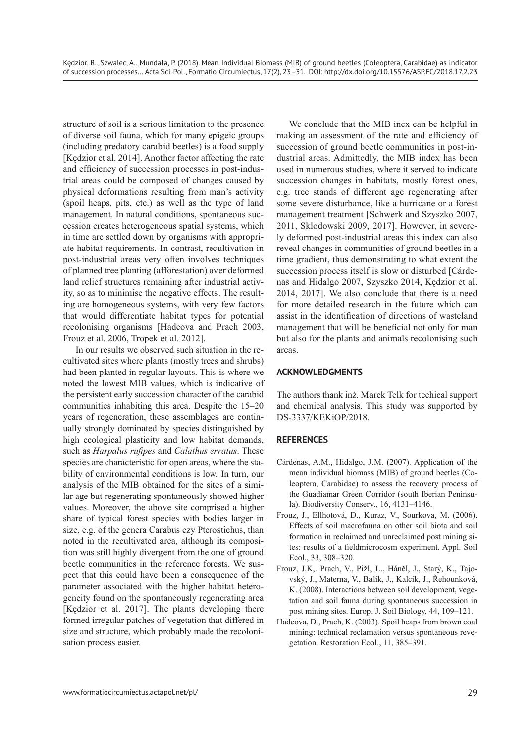structure of soil is a serious limitation to the presence of diverse soil fauna, which for many epigeic groups (including predatory carabid beetles) is a food supply [Kędzior et al. 2014]. Another factor affecting the rate and efficiency of succession processes in post-industrial areas could be composed of changes caused by physical deformations resulting from man's activity (spoil heaps, pits, etc.) as well as the type of land management. In natural conditions, spontaneous succession creates heterogeneous spatial systems, which in time are settled down by organisms with appropriate habitat requirements. In contrast, recultivation in post-industrial areas very often involves techniques of planned tree planting (afforestation) over deformed land relief structures remaining after industrial activity, so as to minimise the negative effects. The resulting are homogeneous systems, with very few factors that would differentiate habitat types for potential recolonising organisms [Hadcova and Prach 2003, Frouz et al. 2006, Tropek et al. 2012].

In our results we observed such situation in the recultivated sites where plants (mostly trees and shrubs) had been planted in regular layouts. This is where we noted the lowest MIB values, which is indicative of the persistent early succession character of the carabid communities inhabiting this area. Despite the 15–20 years of regeneration, these assemblages are continually strongly dominated by species distinguished by high ecological plasticity and low habitat demands, such as *Harpalus rufipes* and *Calathus erratus*. These species are characteristic for open areas, where the stability of environmental conditions is low. In turn, our analysis of the MIB obtained for the sites of a similar age but regenerating spontaneously showed higher values. Moreover, the above site comprised a higher share of typical forest species with bodies larger in size, e.g. of the genera Carabus czy Pterostichus, than noted in the recultivated area, although its composition was still highly divergent from the one of ground beetle communities in the reference forests. We suspect that this could have been a consequence of the parameter associated with the higher habitat heterogeneity found on the spontaneously regenerating area [Kędzior et al. 2017]. The plants developing there formed irregular patches of vegetation that differed in size and structure, which probably made the recolonisation process easier.

We conclude that the MIB inex can be helpful in making an assessment of the rate and efficiency of succession of ground beetle communities in post-industrial areas. Admittedly, the MIB index has been used in numerous studies, where it served to indicate succession changes in habitats, mostly forest ones, e.g. tree stands of different age regenerating after some severe disturbance, like a hurricane or a forest management treatment [Schwerk and Szyszko 2007, 2011, Skłodowski 2009, 2017]. However, in severely deformed post-industrial areas this index can also reveal changes in communities of ground beetles in a time gradient, thus demonstrating to what extent the succession process itself is slow or disturbed [Cárdenas and Hidalgo 2007, Szyszko 2014, Kędzior et al. 2014, 2017]. We also conclude that there is a need for more detailed research in the future which can assist in the identification of directions of wasteland management that will be beneficial not only for man but also for the plants and animals recolonising such areas.

## **ACKNOWLEDGMENTS**

The authors thank inż. Marek Telk for techical support and chemical analysis. This study was supported by DS-3337/KEKiOP/2018.

# **REFERENCES**

- Cárdenas, A.M., Hidalgo, J.M. (2007). Application of the mean individual biomass (MIB) of ground beetles (Coleoptera, Carabidae) to assess the recovery process of the Guadiamar Green Corridor (south Iberian Peninsula). Biodiversity Conserv., 16, 4131–4146.
- Frouz, J., Ellhotová, D., Kuraz, V., Sourkova, M. (2006). Effects of soil macrofauna on other soil biota and soil formation in reclaimed and unreclaimed post mining sites: results of a fieldmicrocosm experiment. Appl. Soil Ecol., 33, 308–320.
- Frouz, J.K,. Prach, V., Pižl, L., Háněl, J., Starý, K., Tajovský, J., Materna, V., Balík, J., Kalcík, J., Řehounková, K. (2008). Interactions between soil development, vegetation and soil fauna during spontaneous succession in post mining sites. Europ. J. Soil Biology, 44, 109–121.
- Hadcova, D., Prach, K. (2003). Spoil heaps from brown coal mining: technical reclamation versus spontaneous revegetation. Restoration Ecol., 11, 385–391.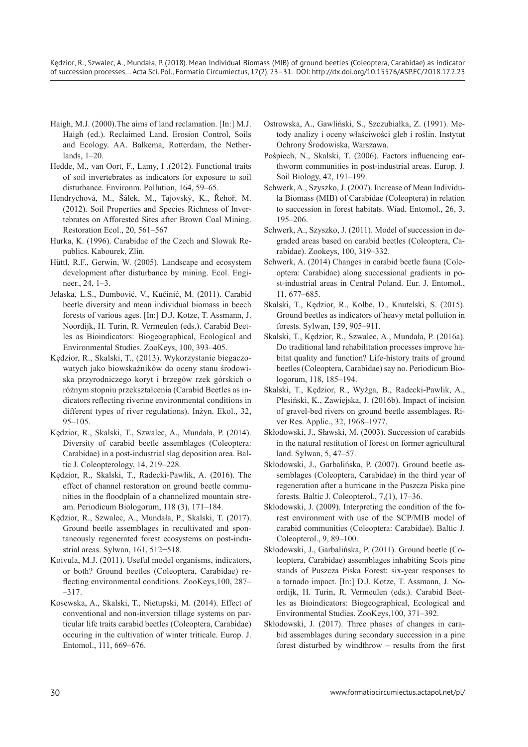Kędzior, R., Szwalec, A., Mundała, P. (2018). Mean Individual Biomass (MIB) of ground beetles (Coleoptera, Carabidae) as indicator of succession processes... Acta Sci. Pol., Formatio Circumiectus, 17(2), 23–31. DOI: http://dx.doi.org/10.15576/ASP.FC/2018.17.2.23

- Haigh, M.J. (2000).The aims of land reclamation. [In:] M.J. Haigh (ed.). Reclaimed Land. Erosion Control, Soils and Ecology. AA. Balkema, Rotterdam, the Netherlands, 1–20.
- Hedde, M., van Oort, F., Lamy, I .(2012). Functional traits of soil invertebrates as indicators for exposure to soil disturbance. Environm. Pollution, 164, 59–65.
- Hendrychová, M., Šálek, M., Tajovský, K., Řehoř, M. (2012). Soil Properties and Species Richness of Invertebrates on Afforested Sites after Brown Coal Mining. Restoration Ecol., 20, 561–567
- Hurka, K. (1996). Carabidae of the Czech and Slowak Republics. Kabourek, Zlin.
- Hüttl, R.F., Gerwin, W. (2005). Landscape and ecosystem development after disturbance by mining. Ecol. Engineer., 24, 1–3.
- Jelaska, L.S., Dumbović, V., Kučinić, M. (2011). Carabid beetle diversity and mean individual biomass in beech forests of various ages. [In:] D.J. Kotze, T. Assmann, J. Noordijk, H. Turin, R. Vermeulen (eds.). Carabid Beetles as Bioindicators: Biogeographical, Ecological and Environmental Studies. ZooKeys, 100, 393–405.
- Kędzior, R., Skalski, T., (2013). Wykorzystanie biegaczowatych jako biowskaźników do oceny stanu środowiska przyrodniczego koryt i brzegów rzek górskich o różnym stopniu przekształcenia (Carabid Beetles as indicators reflecting riverine environmental conditions in different types of river regulations). Inżyn. Ekol., 32, 95–105.
- Kędzior, R., Skalski, T., Szwalec, A., Mundała, P. (2014). Diversity of carabid beetle assemblages (Coleoptera: Carabidae) in a post-industrial slag deposition area. Baltic J. Coleopterology, 14, 219–228.
- Kędzior, R., Skalski, T., Radecki-Pawlik, A. (2016). The effect of channel restoration on ground beetle communities in the floodplain of a channelized mountain stream. Periodicum Biologorum, 118 (3), 171–184.
- Kędzior, R., Szwalec, A., Mundała, P., Skalski, T. (2017). Ground beetle assemblages in recultivated and spontaneously regenerated forest ecosystems on post-industrial areas. Sylwan, 161, 512−518.
- Koivula, M.J. (2011). Useful model organisms, indicators, or both? Ground beetles (Coleoptera, Carabidae) reflecting environmental conditions. ZooKeys,100, 287– –317.
- Kosewska, A., Skalski, T., Nietupski, M. (2014). Effect of conventional and non-inversion tillage systems on particular life traits carabid beetles (Coleoptera, Carabidae) occuring in the cultivation of winter triticale. Europ. J. Entomol., 111, 669–676.
- Ostrowska, A., Gawliński, S., Szczubiałka, Z. (1991). Metody analizy i oceny właściwości gleb i roślin. Instytut Ochrony Środowiska, Warszawa.
- Pośpiech, N., Skalski, T. (2006). Factors influencing earthworm communities in post-industrial areas. Europ. J. Soil Biology, 42, 191–199.
- Schwerk, A., Szyszko, J. (2007). Increase of Mean Individula Biomass (MIB) of Carabidae (Coleoptera) in relation to succession in forest habitats. Wiad. Entomol., 26, 3, 195–206.
- Schwerk, A., Szyszko, J. (2011). Model of succession in degraded areas based on carabid beetles (Coleoptera, Carabidae). Zookeys, 100, 319–332.
- Schwerk, A. (2014) Changes in carabid beetle fauna (Coleoptera: Carabidae) along successional gradients in post-industrial areas in Central Poland. Eur. J. Entomol., 11, 677–685.
- Skalski, T., Kędzior, R., Kolbe, D., Knutelski, S. (2015). Ground beetles as indicators of heavy metal pollution in forests. Sylwan, 159, 905–911.
- Skalski, T., Kędzior, R., Szwalec, A., Mundała, P. (2016a). Do traditional land rehabilitation processes improve habitat quality and function? Life-history traits of ground beetles (Coleoptera, Carabidae) say no. Periodicum Biologorum, 118, 185–194.
- Skalski, T., Kędzior, R., Wyżga, B., Radecki-Pawlik, A., Plesiński, K., Zawiejska, J. (2016b). Impact of incision of gravel-bed rivers on ground beetle assemblages. River Res. Applic., 32, 1968–1977.
- Skłodowski, J., Sławski, M. (2003). Succession of carabids in the natural restitution of forest on former agricultural land. Sylwan, 5, 47–57.
- Skłodowski, J., Garbalińska, P. (2007). Ground beetle assemblages (Coleoptera, Carabidae) in the third year of regeneration after a hurricane in the Puszcza Piska pine forests. Baltic J. Coleopterol., 7,(1), 17–36.
- Skłodowski, J. (2009). Interpreting the condition of the forest environment with use of the SCP/MIB model of carabid communities (Coleoptera: Carabidae). Baltic J. Coleopterol., 9, 89–100.
- Skłodowski, J., Garbalińska, P. (2011). Ground beetle (Coleoptera, Carabidae) assemblages inhabiting Scots pine stands of Puszcza Piska Forest: six-year responses to a tornado impact. [In:] D.J. Kotze, T. Assmann, J. Noordijk, H. Turin, R. Vermeulen (eds.). Carabid Beetles as Bioindicators: Biogeographical, Ecological and Environmental Studies. ZooKeys,100, 371–392.
- Skłodowski, J. (2017). Three phases of changes in carabid assemblages during secondary succession in a pine forest disturbed by windthrow – results from the first